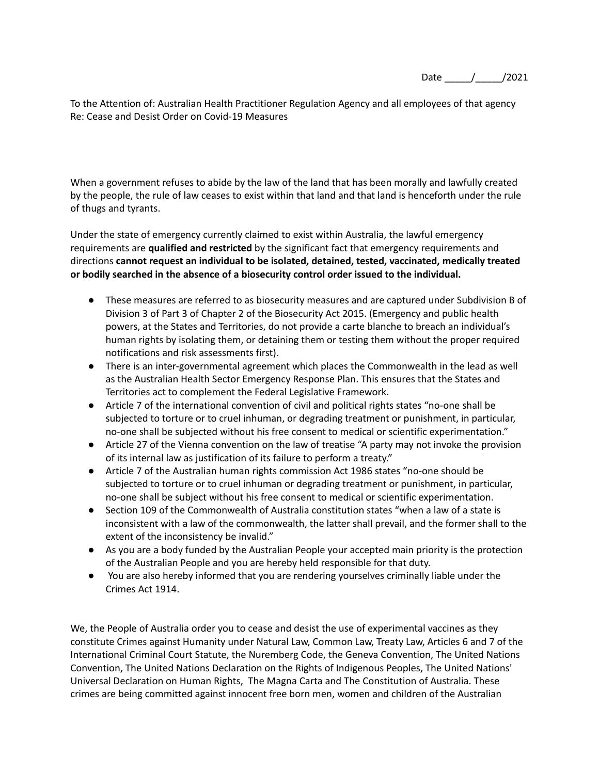Date \_\_\_\_\_/\_\_\_\_\_/2021

To the Attention of: Australian Health Practitioner Regulation Agency and all employees of that agency Re: Cease and Desist Order on Covid-19 Measures

When a government refuses to abide by the law of the land that has been morally and lawfully created by the people, the rule of law ceases to exist within that land and that land is henceforth under the rule of thugs and tyrants.

Under the state of emergency currently claimed to exist within Australia, the lawful emergency requirements are **qualified and restricted** by the significant fact that emergency requirements and directions **cannot request an individual to be isolated, detained, tested, vaccinated, medically treated or bodily searched in the absence of a biosecurity control order issued to the individual.**

- These measures are referred to as biosecurity measures and are captured under Subdivision B of Division 3 of Part 3 of Chapter 2 of the Biosecurity Act 2015. (Emergency and public health powers, at the States and Territories, do not provide a carte blanche to breach an individual's human rights by isolating them, or detaining them or testing them without the proper required notifications and risk assessments first).
- There is an inter-governmental agreement which places the Commonwealth in the lead as well as the Australian Health Sector Emergency Response Plan. This ensures that the States and Territories act to complement the Federal Legislative Framework.
- Article 7 of the international convention of civil and political rights states "no-one shall be subjected to torture or to cruel inhuman, or degrading treatment or punishment, in particular, no-one shall be subjected without his free consent to medical or scientific experimentation."
- Article 27 of the Vienna convention on the law of treatise "A party may not invoke the provision of its internal law as justification of its failure to perform a treaty."
- Article 7 of the Australian human rights commission Act 1986 states "no-one should be subjected to torture or to cruel inhuman or degrading treatment or punishment, in particular, no-one shall be subject without his free consent to medical or scientific experimentation.
- Section 109 of the Commonwealth of Australia constitution states "when a law of a state is inconsistent with a law of the commonwealth, the latter shall prevail, and the former shall to the extent of the inconsistency be invalid."
- As you are a body funded by the Australian People your accepted main priority is the protection of the Australian People and you are hereby held responsible for that duty.
- You are also hereby informed that you are rendering yourselves criminally liable under the Crimes Act 1914.

We, the People of Australia order you to cease and desist the use of experimental vaccines as they constitute Crimes against Humanity under Natural Law, Common Law, Treaty Law, Articles 6 and 7 of the International Criminal Court Statute, the Nuremberg Code, the Geneva Convention, The United Nations Convention, The United Nations Declaration on the Rights of Indigenous Peoples, The United Nations' Universal Declaration on Human Rights, The Magna Carta and The Constitution of Australia. These crimes are being committed against innocent free born men, women and children of the Australian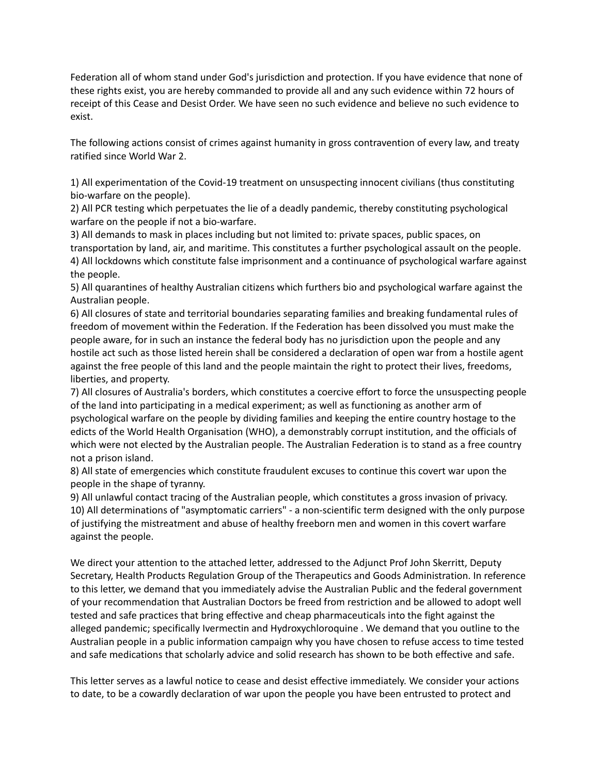Federation all of whom stand under God's jurisdiction and protection. If you have evidence that none of these rights exist, you are hereby commanded to provide all and any such evidence within 72 hours of receipt of this Cease and Desist Order. We have seen no such evidence and believe no such evidence to exist.

The following actions consist of crimes against humanity in gross contravention of every law, and treaty ratified since World War 2.

1) All experimentation of the Covid-19 treatment on unsuspecting innocent civilians (thus constituting bio-warfare on the people).

2) All PCR testing which perpetuates the lie of a deadly pandemic, thereby constituting psychological warfare on the people if not a bio-warfare.

3) All demands to mask in places including but not limited to: private spaces, public spaces, on transportation by land, air, and maritime. This constitutes a further psychological assault on the people. 4) All lockdowns which constitute false imprisonment and a continuance of psychological warfare against the people.

5) All quarantines of healthy Australian citizens which furthers bio and psychological warfare against the Australian people.

6) All closures of state and territorial boundaries separating families and breaking fundamental rules of freedom of movement within the Federation. If the Federation has been dissolved you must make the people aware, for in such an instance the federal body has no jurisdiction upon the people and any hostile act such as those listed herein shall be considered a declaration of open war from a hostile agent against the free people of this land and the people maintain the right to protect their lives, freedoms, liberties, and property.

7) All closures of Australia's borders, which constitutes a coercive effort to force the unsuspecting people of the land into participating in a medical experiment; as well as functioning as another arm of psychological warfare on the people by dividing families and keeping the entire country hostage to the edicts of the World Health Organisation (WHO), a demonstrably corrupt institution, and the officials of which were not elected by the Australian people. The Australian Federation is to stand as a free country not a prison island.

8) All state of emergencies which constitute fraudulent excuses to continue this covert war upon the people in the shape of tyranny.

9) All unlawful contact tracing of the Australian people, which constitutes a gross invasion of privacy. 10) All determinations of "asymptomatic carriers" - a non-scientific term designed with the only purpose of justifying the mistreatment and abuse of healthy freeborn men and women in this covert warfare against the people.

We direct your attention to the attached letter, addressed to the Adjunct Prof John Skerritt, Deputy Secretary, Health Products Regulation Group of the Therapeutics and Goods Administration. In reference to this letter, we demand that you immediately advise the Australian Public and the federal government of your recommendation that Australian Doctors be freed from restriction and be allowed to adopt well tested and safe practices that bring effective and cheap pharmaceuticals into the fight against the alleged pandemic; specifically Ivermectin and Hydroxychloroquine . We demand that you outline to the Australian people in a public information campaign why you have chosen to refuse access to time tested and safe medications that scholarly advice and solid research has shown to be both effective and safe.

This letter serves as a lawful notice to cease and desist effective immediately. We consider your actions to date, to be a cowardly declaration of war upon the people you have been entrusted to protect and